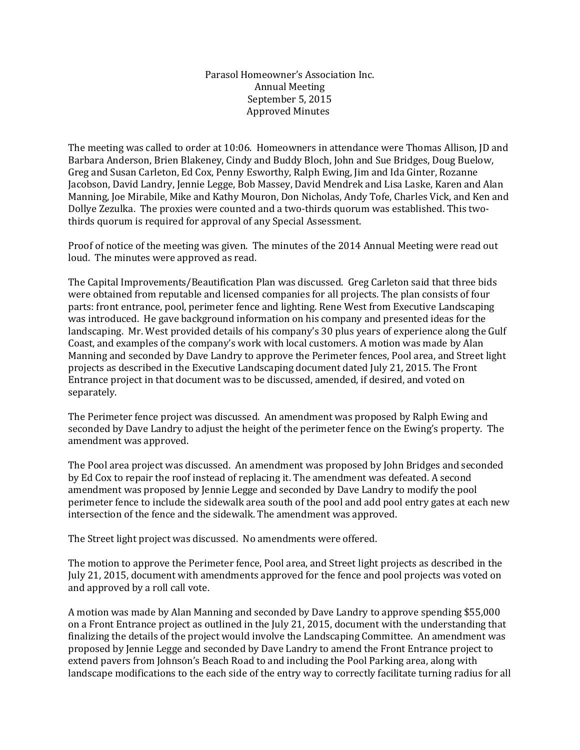## Parasol Homeowner's Association Inc. Annual Meeting September 5, 2015 Approved Minutes

The meeting was called to order at 10:06. Homeowners in attendance were Thomas Allison, JD and Barbara Anderson, Brien Blakeney, Cindy and Buddy Bloch, John and Sue Bridges, Doug Buelow, Greg and Susan Carleton, Ed Cox, Penny Esworthy, Ralph Ewing, Jim and Ida Ginter, Rozanne Jacobson, David Landry, Jennie Legge, Bob Massey, David Mendrek and Lisa Laske, Karen and Alan Manning, Joe Mirabile, Mike and Kathy Mouron, Don Nicholas, Andy Tofe, Charles Vick, and Ken and Dollye Zezulka. The proxies were counted and a two-thirds quorum was established. This twothirds quorum is required for approval of any Special Assessment.

Proof of notice of the meeting was given. The minutes of the 2014 Annual Meeting were read out loud. The minutes were approved as read.

The Capital Improvements/Beautification Plan was discussed. Greg Carleton said that three bids were obtained from reputable and licensed companies for all projects. The plan consists of four parts: front entrance, pool, perimeter fence and lighting. Rene West from Executive Landscaping was introduced. He gave background information on his company and presented ideas for the landscaping. Mr. West provided details of his company's 30 plus years of experience along the Gulf Coast, and examples of the company's work with local customers. A motion was made by Alan Manning and seconded by Dave Landry to approve the Perimeter fences, Pool area, and Street light projects as described in the Executive Landscaping document dated July 21, 2015. The Front Entrance project in that document was to be discussed, amended, if desired, and voted on separately.

The Perimeter fence project was discussed. An amendment was proposed by Ralph Ewing and seconded by Dave Landry to adjust the height of the perimeter fence on the Ewing's property. The amendment was approved.

The Pool area project was discussed. An amendment was proposed by John Bridges and seconded by Ed Cox to repair the roof instead of replacing it. The amendment was defeated. A second amendment was proposed by Jennie Legge and seconded by Dave Landry to modify the pool perimeter fence to include the sidewalk area south of the pool and add pool entry gates at each new intersection of the fence and the sidewalk. The amendment was approved.

The Street light project was discussed. No amendments were offered.

The motion to approve the Perimeter fence, Pool area, and Street light projects as described in the July 21, 2015, document with amendments approved for the fence and pool projects was voted on and approved by a roll call vote.

A motion was made by Alan Manning and seconded by Dave Landry to approve spending \$55,000 on a Front Entrance project as outlined in the July 21, 2015, document with the understanding that finalizing the details of the project would involve the Landscaping Committee. An amendment was proposed by Jennie Legge and seconded by Dave Landry to amend the Front Entrance project to extend pavers from Johnson's Beach Road to and including the Pool Parking area, along with landscape modifications to the each side of the entry way to correctly facilitate turning radius for all